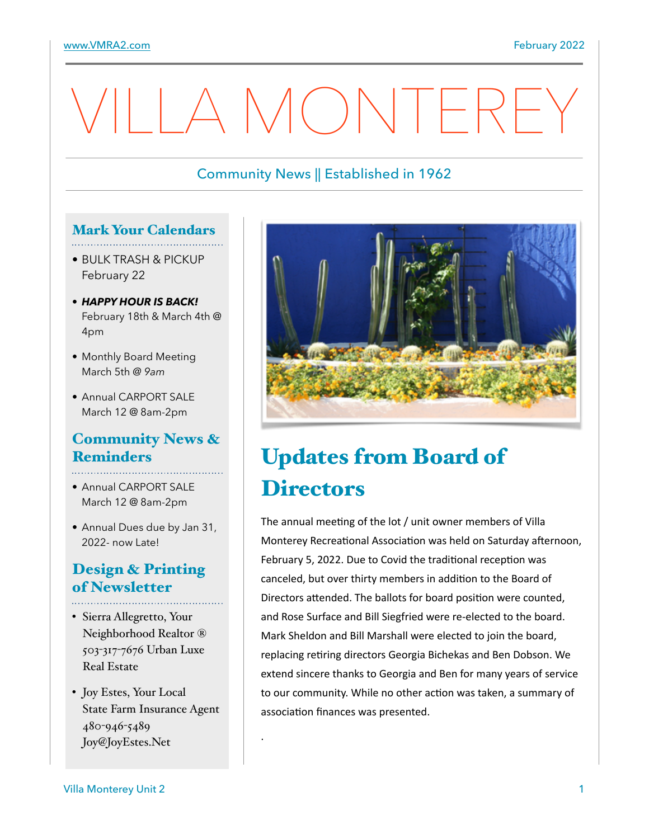# A MONTERE

## Community News || Established in 1962

#### Mark Your Calendars

- BULK TRASH & PICKUP February 22
- *HAPPY HOUR IS BACK!* February 18th & March 4th @ 4pm
- Monthly Board Meeting March 5th *@ 9am*
- Annual CARPORT SALE March 12 @ 8am-2pm

#### Community News & Reminders

- 
- Annual CARPORT SALE March 12 @ 8am-2pm
- Annual Dues due by Jan 31, 2022- now Late!

## Design & Printing of Newsletter

- Sierra Allegretto, Your Neighborhood Realtor ® 503-317-7676 Urban Luxe Real Estate
- Joy Estes, Your Local State Farm Insurance Agent 480-946-5489 Joy@JoyEstes.Net

.



# Updates from Board of **Directors**

The annual meeting of the lot  $/$  unit owner members of Villa Monterey Recreational Association was held on Saturday afternoon, February 5, 2022. Due to Covid the traditional reception was canceled, but over thirty members in addition to the Board of Directors attended. The ballots for board position were counted, and Rose Surface and Bill Siegfried were re-elected to the board. Mark Sheldon and Bill Marshall were elected to join the board, replacing retiring directors Georgia Bichekas and Ben Dobson. We extend sincere thanks to Georgia and Ben for many years of service to our community. While no other action was taken, a summary of association finances was presented.